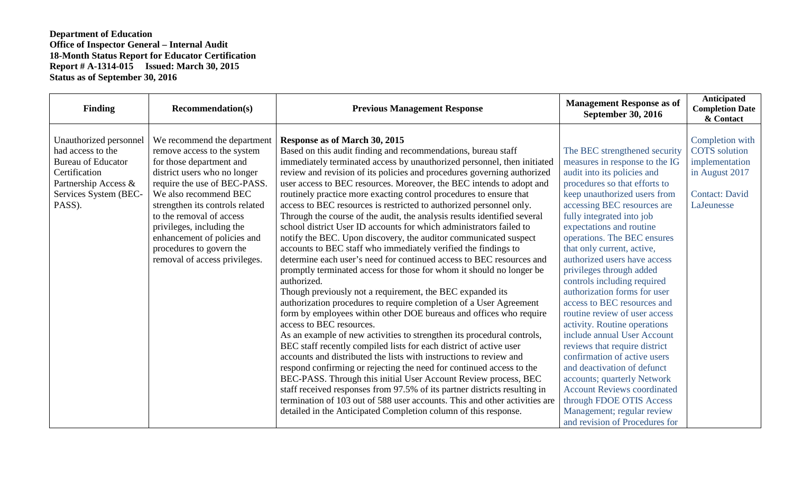| <b>Finding</b>                                                                                                                                       | <b>Recommendation(s)</b>                                                                                                                                                                                                                                                                                                                                                | <b>Previous Management Response</b>                                                                                                                                                                                                                                                                                                                                                                                                                                                                                                                                                                                                                                                                                                                                                                                                                                                                                                                                                                                                                                                                                                                                                                                                                                                                                                                                                                                                                                                                                                                                                                                                                                                                                                                                          | <b>Management Response as of</b><br><b>September 30, 2016</b>                                                                                                                                                                                                                                                                                                                                                                                                                                                                                                                                                                                                                                                                                                                                                                                   | Anticipated<br><b>Completion Date</b><br>& Contact                                                                 |
|------------------------------------------------------------------------------------------------------------------------------------------------------|-------------------------------------------------------------------------------------------------------------------------------------------------------------------------------------------------------------------------------------------------------------------------------------------------------------------------------------------------------------------------|------------------------------------------------------------------------------------------------------------------------------------------------------------------------------------------------------------------------------------------------------------------------------------------------------------------------------------------------------------------------------------------------------------------------------------------------------------------------------------------------------------------------------------------------------------------------------------------------------------------------------------------------------------------------------------------------------------------------------------------------------------------------------------------------------------------------------------------------------------------------------------------------------------------------------------------------------------------------------------------------------------------------------------------------------------------------------------------------------------------------------------------------------------------------------------------------------------------------------------------------------------------------------------------------------------------------------------------------------------------------------------------------------------------------------------------------------------------------------------------------------------------------------------------------------------------------------------------------------------------------------------------------------------------------------------------------------------------------------------------------------------------------------|-------------------------------------------------------------------------------------------------------------------------------------------------------------------------------------------------------------------------------------------------------------------------------------------------------------------------------------------------------------------------------------------------------------------------------------------------------------------------------------------------------------------------------------------------------------------------------------------------------------------------------------------------------------------------------------------------------------------------------------------------------------------------------------------------------------------------------------------------|--------------------------------------------------------------------------------------------------------------------|
| Unauthorized personnel<br>had access to the<br><b>Bureau of Educator</b><br>Certification<br>Partnership Access &<br>Services System (BEC-<br>PASS). | We recommend the department<br>remove access to the system<br>for those department and<br>district users who no longer<br>require the use of BEC-PASS.<br>We also recommend BEC<br>strengthen its controls related<br>to the removal of access<br>privileges, including the<br>enhancement of policies and<br>procedures to govern the<br>removal of access privileges. | <b>Response as of March 30, 2015</b><br>Based on this audit finding and recommendations, bureau staff<br>immediately terminated access by unauthorized personnel, then initiated<br>review and revision of its policies and procedures governing authorized<br>user access to BEC resources. Moreover, the BEC intends to adopt and<br>routinely practice more exacting control procedures to ensure that<br>access to BEC resources is restricted to authorized personnel only.<br>Through the course of the audit, the analysis results identified several<br>school district User ID accounts for which administrators failed to<br>notify the BEC. Upon discovery, the auditor communicated suspect<br>accounts to BEC staff who immediately verified the findings to<br>determine each user's need for continued access to BEC resources and<br>promptly terminated access for those for whom it should no longer be<br>authorized.<br>Though previously not a requirement, the BEC expanded its<br>authorization procedures to require completion of a User Agreement<br>form by employees within other DOE bureaus and offices who require<br>access to BEC resources.<br>As an example of new activities to strengthen its procedural controls,<br>BEC staff recently compiled lists for each district of active user<br>accounts and distributed the lists with instructions to review and<br>respond confirming or rejecting the need for continued access to the<br>BEC-PASS. Through this initial User Account Review process, BEC<br>staff received responses from 97.5% of its partner districts resulting in<br>termination of 103 out of 588 user accounts. This and other activities are<br>detailed in the Anticipated Completion column of this response. | The BEC strengthened security<br>measures in response to the IG<br>audit into its policies and<br>procedures so that efforts to<br>keep unauthorized users from<br>accessing BEC resources are<br>fully integrated into job<br>expectations and routine<br>operations. The BEC ensures<br>that only current, active,<br>authorized users have access<br>privileges through added<br>controls including required<br>authorization forms for user<br>access to BEC resources and<br>routine review of user access<br>activity. Routine operations<br>include annual User Account<br>reviews that require district<br>confirmation of active users<br>and deactivation of defunct<br>accounts; quarterly Network<br><b>Account Reviews coordinated</b><br>through FDOE OTIS Access<br>Management; regular review<br>and revision of Procedures for | Completion with<br><b>COTS</b> solution<br>implementation<br>in August 2017<br><b>Contact: David</b><br>LaJeunesse |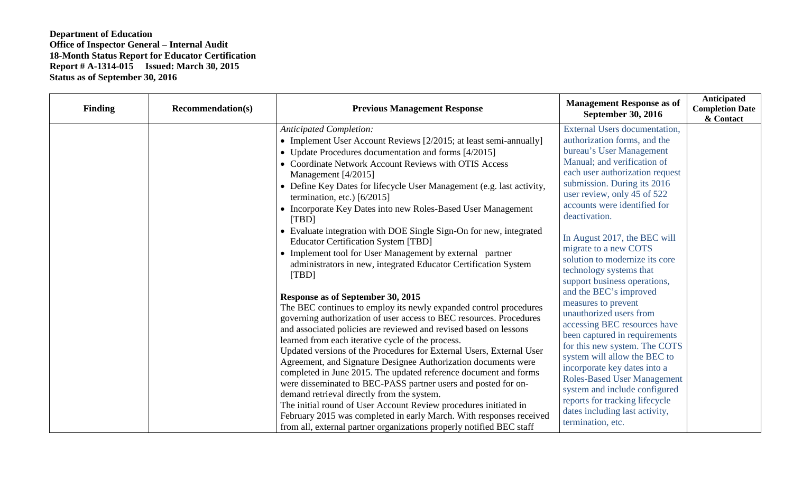| <b>Finding</b> | <b>Recommendation(s)</b> | <b>Previous Management Response</b>                                                                                                                                                                                                                                                                                                                                                                                                                                                                                                                                                                                                                                                                                                                                                                                                                                                                                                                                                              | <b>Management Response as of</b><br><b>September 30, 2016</b>                                                                                                                                                                                                                                                                                                                                                                                                                                           | <b>Anticipated</b><br><b>Completion Date</b><br>& Contact |
|----------------|--------------------------|--------------------------------------------------------------------------------------------------------------------------------------------------------------------------------------------------------------------------------------------------------------------------------------------------------------------------------------------------------------------------------------------------------------------------------------------------------------------------------------------------------------------------------------------------------------------------------------------------------------------------------------------------------------------------------------------------------------------------------------------------------------------------------------------------------------------------------------------------------------------------------------------------------------------------------------------------------------------------------------------------|---------------------------------------------------------------------------------------------------------------------------------------------------------------------------------------------------------------------------------------------------------------------------------------------------------------------------------------------------------------------------------------------------------------------------------------------------------------------------------------------------------|-----------------------------------------------------------|
|                |                          | <b>Anticipated Completion:</b><br>• Implement User Account Reviews $[2/2015]$ ; at least semi-annually]<br>• Update Procedures documentation and forms [4/2015]<br>• Coordinate Network Account Reviews with OTIS Access<br>Management [4/2015]<br>• Define Key Dates for lifecycle User Management (e.g. last activity,<br>termination, etc.) $[6/2015]$<br>• Incorporate Key Dates into new Roles-Based User Management<br>[TBD]<br>• Evaluate integration with DOE Single Sign-On for new, integrated<br><b>Educator Certification System [TBD]</b>                                                                                                                                                                                                                                                                                                                                                                                                                                           | External Users documentation,<br>authorization forms, and the<br>bureau's User Management<br>Manual; and verification of<br>each user authorization request<br>submission. During its 2016<br>user review, only 45 of 522<br>accounts were identified for<br>deactivation.<br>In August 2017, the BEC will<br>migrate to a new COTS                                                                                                                                                                     |                                                           |
|                |                          | • Implement tool for User Management by external partner<br>administrators in new, integrated Educator Certification System<br>[TBD]<br>Response as of September 30, 2015<br>The BEC continues to employ its newly expanded control procedures<br>governing authorization of user access to BEC resources. Procedures<br>and associated policies are reviewed and revised based on lessons<br>learned from each iterative cycle of the process.<br>Updated versions of the Procedures for External Users, External User<br>Agreement, and Signature Designee Authorization documents were<br>completed in June 2015. The updated reference document and forms<br>were disseminated to BEC-PASS partner users and posted for on-<br>demand retrieval directly from the system.<br>The initial round of User Account Review procedures initiated in<br>February 2015 was completed in early March. With responses received<br>from all, external partner organizations properly notified BEC staff | solution to modernize its core<br>technology systems that<br>support business operations,<br>and the BEC's improved<br>measures to prevent<br>unauthorized users from<br>accessing BEC resources have<br>been captured in requirements<br>for this new system. The COTS<br>system will allow the BEC to<br>incorporate key dates into a<br><b>Roles-Based User Management</b><br>system and include configured<br>reports for tracking lifecycle<br>dates including last activity,<br>termination, etc. |                                                           |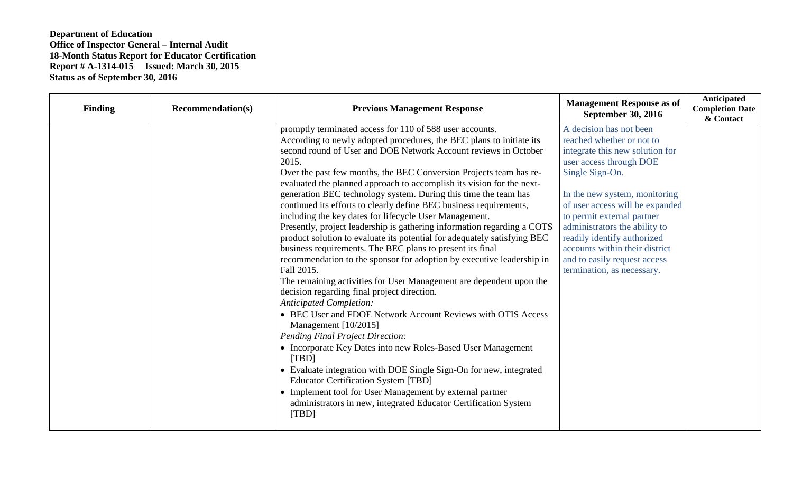| <b>Finding</b> | <b>Recommendation(s)</b> | <b>Previous Management Response</b>                                      | <b>Management Response as of</b><br><b>September 30, 2016</b> | Anticipated<br><b>Completion Date</b><br>& Contact |
|----------------|--------------------------|--------------------------------------------------------------------------|---------------------------------------------------------------|----------------------------------------------------|
|                |                          | promptly terminated access for 110 of 588 user accounts.                 | A decision has not been                                       |                                                    |
|                |                          | According to newly adopted procedures, the BEC plans to initiate its     | reached whether or not to                                     |                                                    |
|                |                          | second round of User and DOE Network Account reviews in October          | integrate this new solution for                               |                                                    |
|                |                          | 2015.                                                                    | user access through DOE                                       |                                                    |
|                |                          | Over the past few months, the BEC Conversion Projects team has re-       | Single Sign-On.                                               |                                                    |
|                |                          | evaluated the planned approach to accomplish its vision for the next-    |                                                               |                                                    |
|                |                          | generation BEC technology system. During this time the team has          | In the new system, monitoring                                 |                                                    |
|                |                          | continued its efforts to clearly define BEC business requirements,       | of user access will be expanded                               |                                                    |
|                |                          | including the key dates for lifecycle User Management.                   | to permit external partner                                    |                                                    |
|                |                          | Presently, project leadership is gathering information regarding a COTS  | administrators the ability to                                 |                                                    |
|                |                          | product solution to evaluate its potential for adequately satisfying BEC | readily identify authorized                                   |                                                    |
|                |                          | business requirements. The BEC plans to present its final                | accounts within their district                                |                                                    |
|                |                          | recommendation to the sponsor for adoption by executive leadership in    | and to easily request access                                  |                                                    |
|                |                          | Fall 2015.                                                               | termination, as necessary.                                    |                                                    |
|                |                          | The remaining activities for User Management are dependent upon the      |                                                               |                                                    |
|                |                          | decision regarding final project direction.                              |                                                               |                                                    |
|                |                          | <b>Anticipated Completion:</b>                                           |                                                               |                                                    |
|                |                          | • BEC User and FDOE Network Account Reviews with OTIS Access             |                                                               |                                                    |
|                |                          | Management [10/2015]                                                     |                                                               |                                                    |
|                |                          | <b>Pending Final Project Direction:</b>                                  |                                                               |                                                    |
|                |                          | • Incorporate Key Dates into new Roles-Based User Management<br>[TBD]    |                                                               |                                                    |
|                |                          | • Evaluate integration with DOE Single Sign-On for new, integrated       |                                                               |                                                    |
|                |                          | <b>Educator Certification System [TBD]</b>                               |                                                               |                                                    |
|                |                          | • Implement tool for User Management by external partner                 |                                                               |                                                    |
|                |                          | administrators in new, integrated Educator Certification System<br>[TBD] |                                                               |                                                    |
|                |                          |                                                                          |                                                               |                                                    |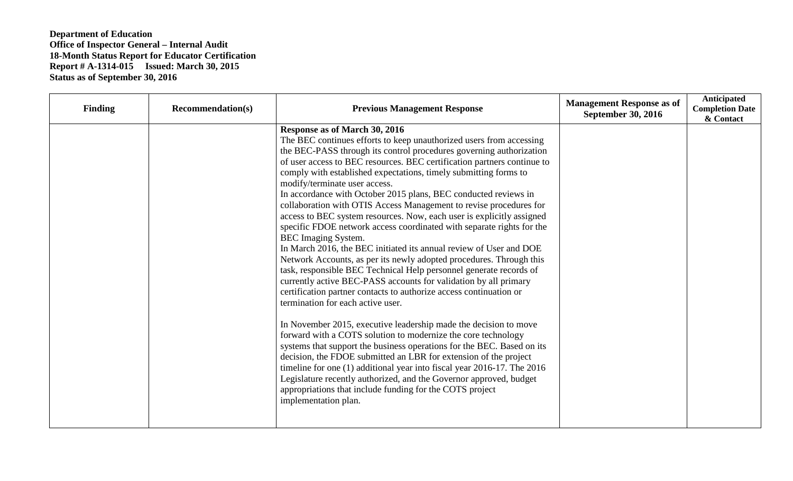| <b>Finding</b> | <b>Recommendation(s)</b> | <b>Previous Management Response</b>                                                                                                                                                                                                                                                                                                                                                                                                                                                                                                                                                                                                                                                                                                                                                                                                                                                                                                                                                                                                                                                                                                                                                                                                                                                                                                                                                                                                                                                                                                                                                                            | <b>Management Response as of</b><br><b>September 30, 2016</b> | <b>Anticipated</b><br><b>Completion Date</b><br>& Contact |
|----------------|--------------------------|----------------------------------------------------------------------------------------------------------------------------------------------------------------------------------------------------------------------------------------------------------------------------------------------------------------------------------------------------------------------------------------------------------------------------------------------------------------------------------------------------------------------------------------------------------------------------------------------------------------------------------------------------------------------------------------------------------------------------------------------------------------------------------------------------------------------------------------------------------------------------------------------------------------------------------------------------------------------------------------------------------------------------------------------------------------------------------------------------------------------------------------------------------------------------------------------------------------------------------------------------------------------------------------------------------------------------------------------------------------------------------------------------------------------------------------------------------------------------------------------------------------------------------------------------------------------------------------------------------------|---------------------------------------------------------------|-----------------------------------------------------------|
|                |                          | Response as of March 30, 2016<br>The BEC continues efforts to keep unauthorized users from accessing<br>the BEC-PASS through its control procedures governing authorization<br>of user access to BEC resources. BEC certification partners continue to<br>comply with established expectations, timely submitting forms to<br>modify/terminate user access.<br>In accordance with October 2015 plans, BEC conducted reviews in<br>collaboration with OTIS Access Management to revise procedures for<br>access to BEC system resources. Now, each user is explicitly assigned<br>specific FDOE network access coordinated with separate rights for the<br><b>BEC</b> Imaging System.<br>In March 2016, the BEC initiated its annual review of User and DOE<br>Network Accounts, as per its newly adopted procedures. Through this<br>task, responsible BEC Technical Help personnel generate records of<br>currently active BEC-PASS accounts for validation by all primary<br>certification partner contacts to authorize access continuation or<br>termination for each active user.<br>In November 2015, executive leadership made the decision to move<br>forward with a COTS solution to modernize the core technology<br>systems that support the business operations for the BEC. Based on its<br>decision, the FDOE submitted an LBR for extension of the project<br>timeline for one (1) additional year into fiscal year 2016-17. The 2016<br>Legislature recently authorized, and the Governor approved, budget<br>appropriations that include funding for the COTS project<br>implementation plan. |                                                               |                                                           |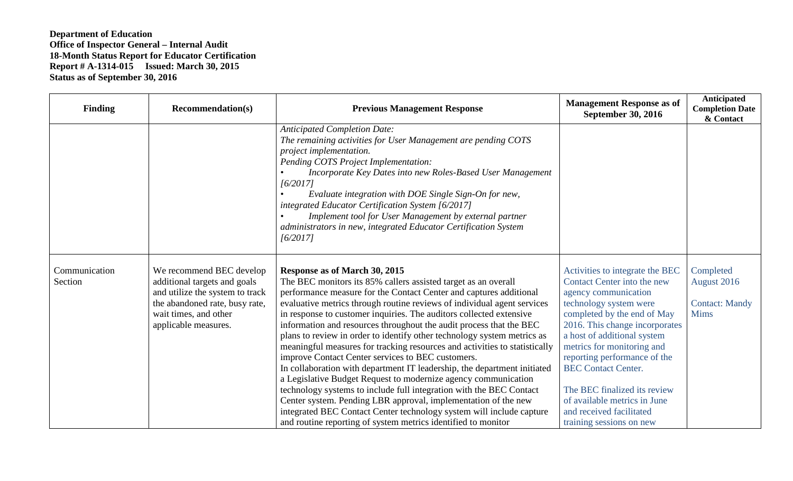| <b>Finding</b>           | <b>Recommendation(s)</b>                                                                                                                                                       | <b>Previous Management Response</b>                                                                                                                                                                                                                                                                                                                                                                                                                                                                                                                                                                                                                                                                                                                                                                                                                                                                                                                                                                                                          | <b>Management Response as of</b><br><b>September 30, 2016</b>                                                                                                                                                                                                                                                                                                                                                                        | <b>Anticipated</b><br><b>Completion Date</b><br>& Contact        |
|--------------------------|--------------------------------------------------------------------------------------------------------------------------------------------------------------------------------|----------------------------------------------------------------------------------------------------------------------------------------------------------------------------------------------------------------------------------------------------------------------------------------------------------------------------------------------------------------------------------------------------------------------------------------------------------------------------------------------------------------------------------------------------------------------------------------------------------------------------------------------------------------------------------------------------------------------------------------------------------------------------------------------------------------------------------------------------------------------------------------------------------------------------------------------------------------------------------------------------------------------------------------------|--------------------------------------------------------------------------------------------------------------------------------------------------------------------------------------------------------------------------------------------------------------------------------------------------------------------------------------------------------------------------------------------------------------------------------------|------------------------------------------------------------------|
|                          |                                                                                                                                                                                | <b>Anticipated Completion Date:</b><br>The remaining activities for User Management are pending COTS<br>project implementation.<br>Pending COTS Project Implementation:<br>Incorporate Key Dates into new Roles-Based User Management<br>[6/2017]<br>Evaluate integration with DOE Single Sign-On for new,<br>integrated Educator Certification System [6/2017]<br>Implement tool for User Management by external partner<br>administrators in new, integrated Educator Certification System<br>[6/2017]                                                                                                                                                                                                                                                                                                                                                                                                                                                                                                                                     |                                                                                                                                                                                                                                                                                                                                                                                                                                      |                                                                  |
| Communication<br>Section | We recommend BEC develop<br>additional targets and goals<br>and utilize the system to track<br>the abandoned rate, busy rate,<br>wait times, and other<br>applicable measures. | Response as of March 30, 2015<br>The BEC monitors its 85% callers assisted target as an overall<br>performance measure for the Contact Center and captures additional<br>evaluative metrics through routine reviews of individual agent services<br>in response to customer inquiries. The auditors collected extensive<br>information and resources throughout the audit process that the BEC<br>plans to review in order to identify other technology system metrics as<br>meaningful measures for tracking resources and activities to statistically<br>improve Contact Center services to BEC customers.<br>In collaboration with department IT leadership, the department initiated<br>a Legislative Budget Request to modernize agency communication<br>technology systems to include full integration with the BEC Contact<br>Center system. Pending LBR approval, implementation of the new<br>integrated BEC Contact Center technology system will include capture<br>and routine reporting of system metrics identified to monitor | Activities to integrate the BEC<br>Contact Center into the new<br>agency communication<br>technology system were<br>completed by the end of May<br>2016. This change incorporates<br>a host of additional system<br>metrics for monitoring and<br>reporting performance of the<br><b>BEC Contact Center.</b><br>The BEC finalized its review<br>of available metrics in June<br>and received facilitated<br>training sessions on new | Completed<br>August 2016<br><b>Contact: Mandy</b><br><b>Mims</b> |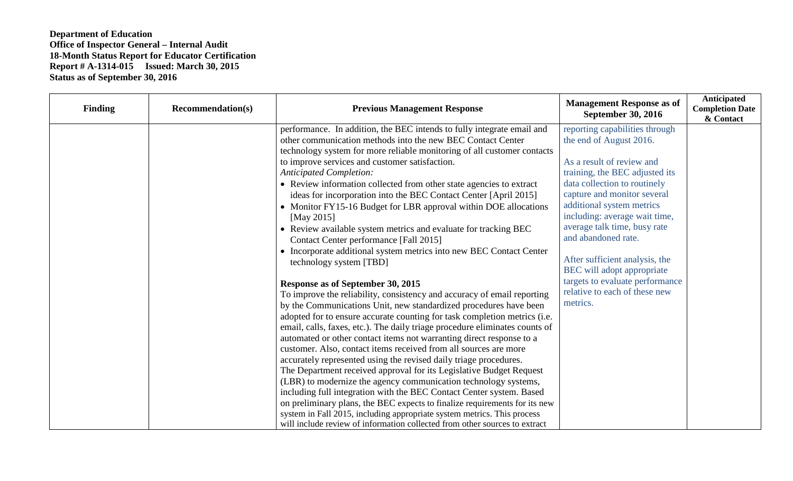| <b>Finding</b> | <b>Recommendation(s)</b> | <b>Previous Management Response</b>                                                                                                                                                                                                                                                                                                                                                                                                                                                                                                                                                                                                                                                                                                                                                                                                                                                                                                                                                                                                                                                                                                                                                                                                                                                                                                                                                                                                                          | <b>Management Response as of</b><br><b>September 30, 2016</b>                                                                                                                                                                                                                                                                                                                                                                                                | Anticipated<br><b>Completion Date</b><br>& Contact |
|----------------|--------------------------|--------------------------------------------------------------------------------------------------------------------------------------------------------------------------------------------------------------------------------------------------------------------------------------------------------------------------------------------------------------------------------------------------------------------------------------------------------------------------------------------------------------------------------------------------------------------------------------------------------------------------------------------------------------------------------------------------------------------------------------------------------------------------------------------------------------------------------------------------------------------------------------------------------------------------------------------------------------------------------------------------------------------------------------------------------------------------------------------------------------------------------------------------------------------------------------------------------------------------------------------------------------------------------------------------------------------------------------------------------------------------------------------------------------------------------------------------------------|--------------------------------------------------------------------------------------------------------------------------------------------------------------------------------------------------------------------------------------------------------------------------------------------------------------------------------------------------------------------------------------------------------------------------------------------------------------|----------------------------------------------------|
|                |                          | performance. In addition, the BEC intends to fully integrate email and<br>other communication methods into the new BEC Contact Center<br>technology system for more reliable monitoring of all customer contacts<br>to improve services and customer satisfaction.<br><b>Anticipated Completion:</b><br>• Review information collected from other state agencies to extract<br>ideas for incorporation into the BEC Contact Center [April 2015]<br>• Monitor FY15-16 Budget for LBR approval within DOE allocations<br>[May 2015]<br>• Review available system metrics and evaluate for tracking BEC<br>Contact Center performance [Fall 2015]<br>• Incorporate additional system metrics into new BEC Contact Center<br>technology system [TBD]<br>Response as of September 30, 2015<br>To improve the reliability, consistency and accuracy of email reporting<br>by the Communications Unit, new standardized procedures have been<br>adopted for to ensure accurate counting for task completion metrics (i.e.<br>email, calls, faxes, etc.). The daily triage procedure eliminates counts of<br>automated or other contact items not warranting direct response to a<br>customer. Also, contact items received from all sources are more<br>accurately represented using the revised daily triage procedures.<br>The Department received approval for its Legislative Budget Request<br>(LBR) to modernize the agency communication technology systems, | reporting capabilities through<br>the end of August 2016.<br>As a result of review and<br>training, the BEC adjusted its<br>data collection to routinely<br>capture and monitor several<br>additional system metrics<br>including: average wait time,<br>average talk time, busy rate<br>and abandoned rate.<br>After sufficient analysis, the<br>BEC will adopt appropriate<br>targets to evaluate performance<br>relative to each of these new<br>metrics. |                                                    |
|                |                          | including full integration with the BEC Contact Center system. Based<br>on preliminary plans, the BEC expects to finalize requirements for its new<br>system in Fall 2015, including appropriate system metrics. This process<br>will include review of information collected from other sources to extract                                                                                                                                                                                                                                                                                                                                                                                                                                                                                                                                                                                                                                                                                                                                                                                                                                                                                                                                                                                                                                                                                                                                                  |                                                                                                                                                                                                                                                                                                                                                                                                                                                              |                                                    |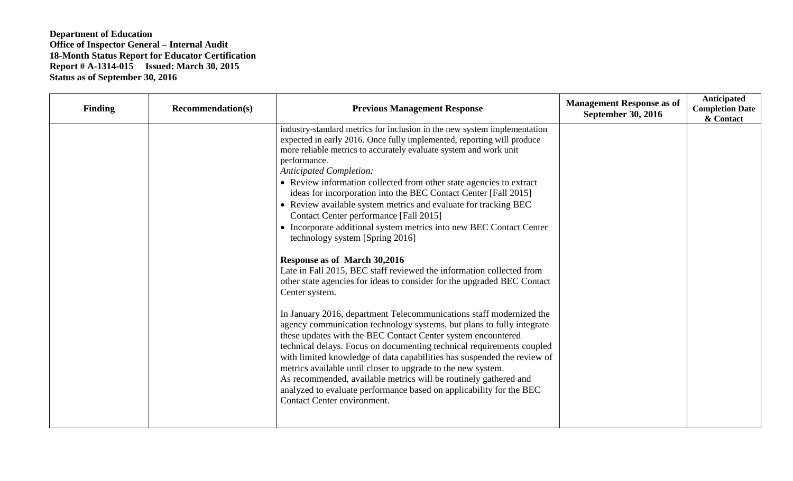| Finding | <b>Recommendation(s)</b> | <b>Previous Management Response</b>                                                                                                                                                                                                                                                                                                                                                                                                                                                                                                                                                                                                                                                                                                                                                                                                                                                                                                                                                                                                                                                                                                                                                                                                                                                                                                                                                                                                                           | <b>Management Response as of</b><br><b>September 30, 2016</b> | Anticipated<br><b>Completion Date</b><br>& Contact |
|---------|--------------------------|---------------------------------------------------------------------------------------------------------------------------------------------------------------------------------------------------------------------------------------------------------------------------------------------------------------------------------------------------------------------------------------------------------------------------------------------------------------------------------------------------------------------------------------------------------------------------------------------------------------------------------------------------------------------------------------------------------------------------------------------------------------------------------------------------------------------------------------------------------------------------------------------------------------------------------------------------------------------------------------------------------------------------------------------------------------------------------------------------------------------------------------------------------------------------------------------------------------------------------------------------------------------------------------------------------------------------------------------------------------------------------------------------------------------------------------------------------------|---------------------------------------------------------------|----------------------------------------------------|
|         |                          | industry-standard metrics for inclusion in the new system implementation<br>expected in early 2016. Once fully implemented, reporting will produce<br>more reliable metrics to accurately evaluate system and work unit<br>performance.<br><b>Anticipated Completion:</b><br>• Review information collected from other state agencies to extract<br>ideas for incorporation into the BEC Contact Center [Fall 2015]<br>• Review available system metrics and evaluate for tracking BEC<br>Contact Center performance [Fall 2015]<br>• Incorporate additional system metrics into new BEC Contact Center<br>technology system [Spring 2016]<br>Response as of March 30,2016<br>Late in Fall 2015, BEC staff reviewed the information collected from<br>other state agencies for ideas to consider for the upgraded BEC Contact<br>Center system.<br>In January 2016, department Telecommunications staff modernized the<br>agency communication technology systems, but plans to fully integrate<br>these updates with the BEC Contact Center system encountered<br>technical delays. Focus on documenting technical requirements coupled<br>with limited knowledge of data capabilities has suspended the review of<br>metrics available until closer to upgrade to the new system.<br>As recommended, available metrics will be routinely gathered and<br>analyzed to evaluate performance based on applicability for the BEC<br>Contact Center environment. |                                                               |                                                    |